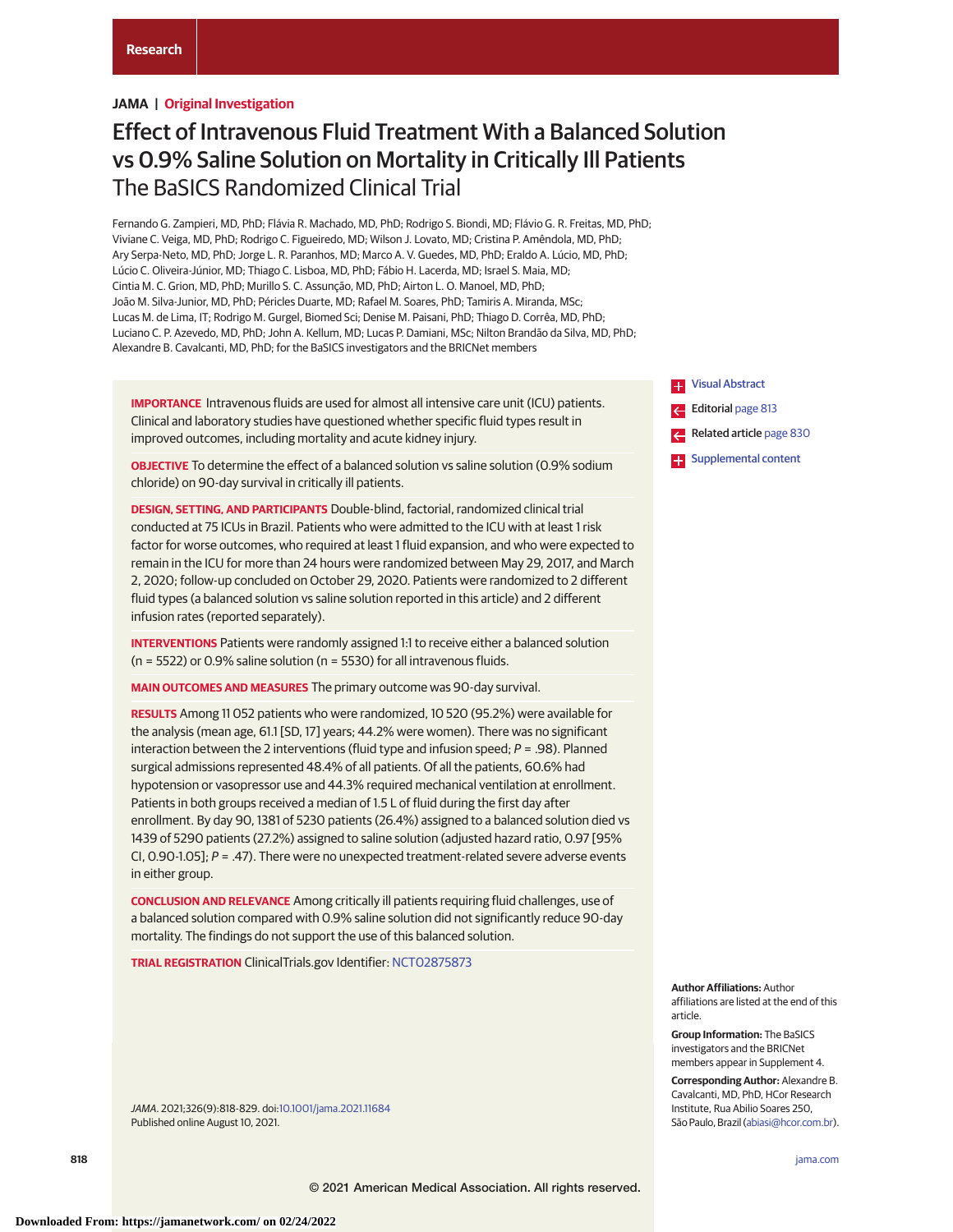# **JAMA | Original Investigation**

# Effect of Intravenous Fluid Treatment With a Balanced Solution vs 0.9% Saline Solution on Mortality in Critically Ill Patients The BaSICS Randomized Clinical Trial

Fernando G. Zampieri, MD, PhD; Flávia R. Machado, MD, PhD; Rodrigo S. Biondi, MD; Flávio G. R. Freitas, MD, PhD; Viviane C. Veiga, MD, PhD; Rodrigo C. Figueiredo, MD; Wilson J. Lovato, MD; Cristina P. Amêndola, MD, PhD; Ary Serpa-Neto, MD, PhD; Jorge L. R. Paranhos, MD; Marco A. V. Guedes, MD, PhD; Eraldo A. Lúcio, MD, PhD; Lúcio C. Oliveira-Júnior, MD; Thiago C. Lisboa, MD, PhD; Fábio H. Lacerda, MD; Israel S. Maia, MD; Cintia M. C. Grion, MD, PhD; Murillo S. C. Assunção, MD, PhD; Airton L. O. Manoel, MD, PhD; João M. Silva-Junior, MD, PhD; Péricles Duarte, MD; Rafael M. Soares, PhD; Tamiris A. Miranda, MSc; Lucas M. de Lima, IT; Rodrigo M. Gurgel, Biomed Sci; Denise M. Paisani, PhD; Thiago D. Corrêa, MD, PhD; Luciano C. P. Azevedo, MD, PhD; John A. Kellum, MD; Lucas P. Damiani, MSc; Nilton Brandão da Silva, MD, PhD; Alexandre B. Cavalcanti, MD, PhD; for the BaSICS investigators and the BRICNet members

**IMPORTANCE** Intravenous fluids are used for almost all intensive care unit (ICU) patients. Clinical and laboratory studies have questioned whether specific fluid types result in improved outcomes, including mortality and acute kidney injury.

**OBJECTIVE** To determine the effect of a balanced solution vs saline solution (0.9% sodium chloride) on 90-day survival in critically ill patients.

**DESIGN, SETTING, AND PARTICIPANTS** Double-blind, factorial, randomized clinical trial conducted at 75 ICUs in Brazil. Patients who were admitted to the ICU with at least 1 risk factor for worse outcomes, who required at least 1 fluid expansion, and who were expected to remain in the ICU for more than 24 hours were randomized between May 29, 2017, and March 2, 2020; follow-up concluded on October 29, 2020. Patients were randomized to 2 different fluid types (a balanced solution vs saline solution reported in this article) and 2 different infusion rates (reported separately).

**INTERVENTIONS** Patients were randomly assigned 1:1 to receive either a balanced solution (n = 5522) or 0.9% saline solution (n = 5530) for all intravenous fluids.

**MAIN OUTCOMES AND MEASURES** The primary outcome was 90-day survival.

**RESULTS** Among 11 052 patients who were randomized, 10 520 (95.2%) were available for the analysis (mean age, 61.1 [SD, 17] years; 44.2% were women). There was no significant interaction between the 2 interventions (fluid type and infusion speed;  $P = .98$ ). Planned surgical admissions represented 48.4% of all patients. Of all the patients, 60.6% had hypotension or vasopressor use and 44.3% required mechanical ventilation at enrollment. Patients in both groups received a median of 1.5 L of fluid during the first day after enrollment. By day 90, 1381 of 5230 patients (26.4%) assigned to a balanced solution died vs 1439 of 5290 patients (27.2%) assigned to saline solution (adjusted hazard ratio, 0.97 [95% CI, 0.90-1.05];  $P = .47$ ). There were no unexpected treatment-related severe adverse events in either group.

**CONCLUSION AND RELEVANCE** Among critically ill patients requiring fluid challenges, use of a balanced solution compared with 0.9% saline solution did not significantly reduce 90-day mortality. The findings do not support the use of this balanced solution.

**TRIAL REGISTRATION** ClinicalTrials.gov Identifier: [NCT02875873](https://clinicaltrials.gov/ct2/show/NCT02875873?id=NCT02875873&draw=2&rank=1)

JAMA. 2021;326(9):818-829. doi[:10.1001/jama.2021.11684](https://jamanetwork.com/journals/jama/fullarticle/10.1001/jama.2021.11684?utm_campaign=articlePDF%26utm_medium=articlePDFlink%26utm_source=articlePDF%26utm_content=jama.2021.11684) Published online August 10, 2021.



**Author Affiliations:** Author affiliations are listed at the end of this article.

**Group Information:** The BaSICS investigators and the BRICNet members appear in Supplement 4.

**Corresponding Author:** Alexandre B. Cavalcanti, MD, PhD, HCor Research Institute, Rua Abilio Soares 250, São Paulo, Brazil [\(abiasi@hcor.com.br\)](mailto:abiasi@hcor.com.br).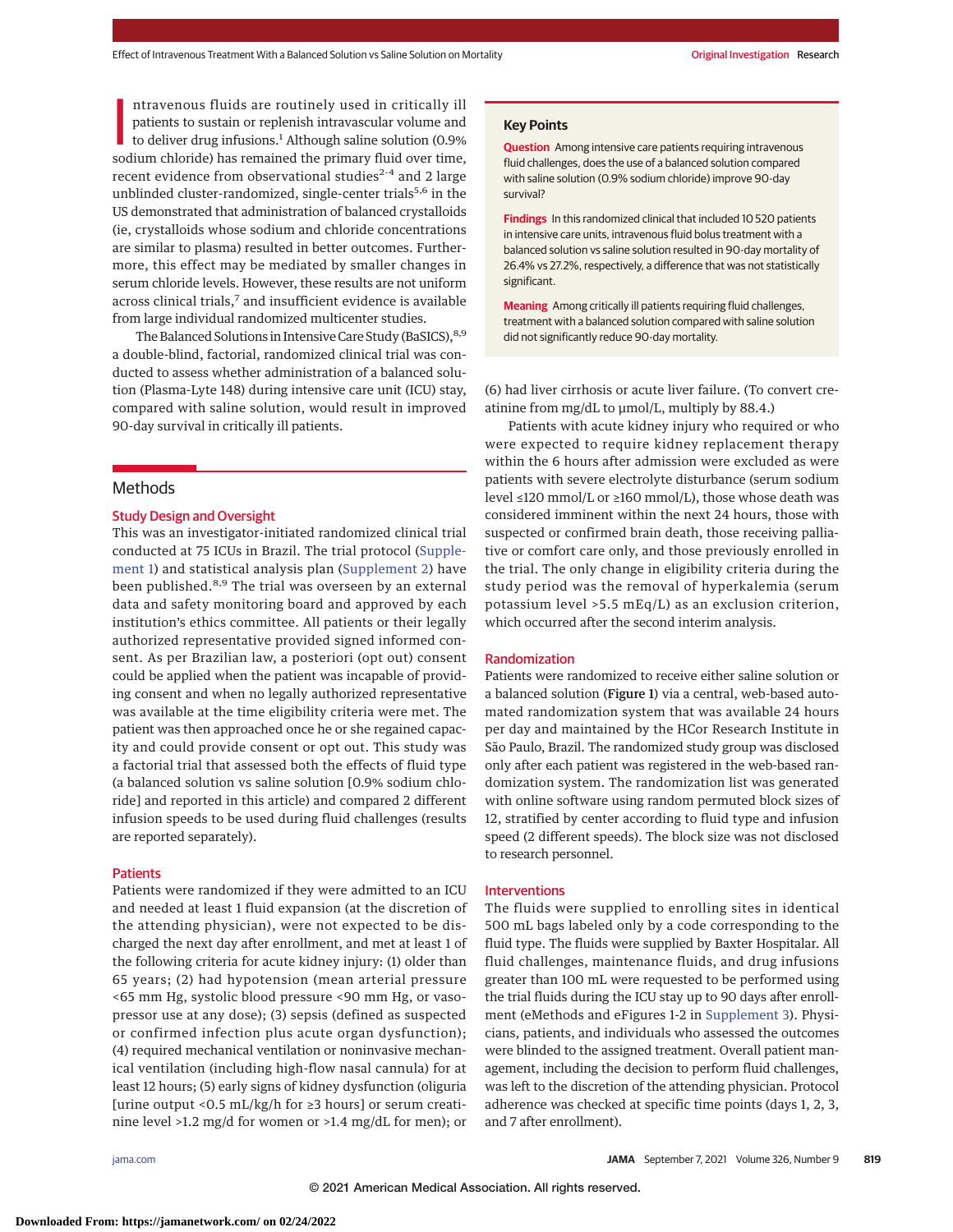ntravenous fluids are routinely used in critically ill<br>patients to sustain or replenish intravascular volume and<br>to deliver drug infusions.<sup>1</sup> Although saline solution (0.9%<br>sodium chloride) has remained the primary fluid ntravenous fluids are routinely used in critically ill patients to sustain or replenish intravascular volume and to deliver drug infusions.<sup>1</sup> Although saline solution (0.9%) recent evidence from observational studies<sup>2-4</sup> and 2 large unblinded cluster-randomized, single-center trials<sup>5,6</sup> in the US demonstrated that administration of balanced crystalloids (ie, crystalloids whose sodium and chloride concentrations are similar to plasma) resulted in better outcomes. Furthermore, this effect may be mediated by smaller changes in serum chloride levels. However, these results are not uniform across clinical trials,<sup>7</sup> and insufficient evidence is available from large individual randomized multicenter studies.

The Balanced Solutions in Intensive Care Study (BaSICS), 8,9 a double-blind, factorial, randomized clinical trial was conducted to assess whether administration of a balanced solution (Plasma-Lyte 148) during intensive care unit (ICU) stay, compared with saline solution, would result in improved 90-day survival in critically ill patients.

# **Methods**

### Study Design and Oversight

This was an investigator-initiated randomized clinical trial conducted at 75 ICUs in Brazil. The trial protocol [\(Supple](https://jamanetwork.com/journals/jama/fullarticle/10.1001/jama.2021.11684?utm_campaign=articlePDF%26utm_medium=articlePDFlink%26utm_source=articlePDF%26utm_content=jama.2021.11684)[ment 1\)](https://jamanetwork.com/journals/jama/fullarticle/10.1001/jama.2021.11684?utm_campaign=articlePDF%26utm_medium=articlePDFlink%26utm_source=articlePDF%26utm_content=jama.2021.11684) and statistical analysis plan [\(Supplement 2\)](https://jamanetwork.com/journals/jama/fullarticle/10.1001/jama.2021.11684?utm_campaign=articlePDF%26utm_medium=articlePDFlink%26utm_source=articlePDF%26utm_content=jama.2021.11684) have been published.<sup>8,9</sup> The trial was overseen by an external data and safety monitoring board and approved by each institution's ethics committee. All patients or their legally authorized representative provided signed informed consent. As per Brazilian law, a posteriori (opt out) consent could be applied when the patient was incapable of providing consent and when no legally authorized representative was available at the time eligibility criteria were met. The patient was then approached once he or she regained capacity and could provide consent or opt out. This study was a factorial trial that assessed both the effects of fluid type (a balanced solution vs saline solution [0.9% sodium chloride] and reported in this article) and compared 2 different infusion speeds to be used during fluid challenges (results are reported separately).

### Patients

Patients were randomized if they were admitted to an ICU and needed at least 1 fluid expansion (at the discretion of the attending physician), were not expected to be discharged the next day after enrollment, and met at least 1 of the following criteria for acute kidney injury: (1) older than 65 years; (2) had hypotension (mean arterial pressure <65 mm Hg, systolic blood pressure <90 mm Hg, or vasopressor use at any dose); (3) sepsis (defined as suspected or confirmed infection plus acute organ dysfunction); (4) required mechanical ventilation or noninvasive mechanical ventilation (including high-flow nasal cannula) for at least 12 hours; (5) early signs of kidney dysfunction (oliguria [urine output <0.5 mL/kg/h for ≥3 hours] or serum creatinine level >1.2 mg/d for women or >1.4 mg/dL for men); or

#### **Key Points**

**Question** Among intensive care patients requiring intravenous fluid challenges, does the use of a balanced solution compared with saline solution (0.9% sodium chloride) improve 90-day survival?

**Findings** In this randomized clinical that included 10 520 patients in intensive care units, intravenous fluid bolus treatment with a balanced solution vs saline solution resulted in 90-day mortality of 26.4% vs 27.2%, respectively, a difference that was not statistically significant.

**Meaning** Among critically ill patients requiring fluid challenges, treatment with a balanced solution compared with saline solution did not significantly reduce 90-day mortality.

(6) had liver cirrhosis or acute liver failure. (To convert creatinine from mg/dL to μmol/L, multiply by 88.4.)

Patients with acute kidney injury who required or who were expected to require kidney replacement therapy within the 6 hours after admission were excluded as were patients with severe electrolyte disturbance (serum sodium level ≤120 mmol/L or ≥160 mmol/L), those whose death was considered imminent within the next 24 hours, those with suspected or confirmed brain death, those receiving palliative or comfort care only, and those previously enrolled in the trial. The only change in eligibility criteria during the study period was the removal of hyperkalemia (serum potassium level >5.5 mEq/L) as an exclusion criterion, which occurred after the second interim analysis.

#### Randomization

Patients were randomized to receive either saline solution or a balanced solution (Figure 1) via a central, web-based automated randomization system that was available 24 hours per day and maintained by the HCor Research Institute in São Paulo, Brazil. The randomized study group was disclosed only after each patient was registered in the web-based randomization system. The randomization list was generated with online software using random permuted block sizes of 12, stratified by center according to fluid type and infusion speed (2 different speeds). The block size was not disclosed to research personnel.

#### Interventions

The fluids were supplied to enrolling sites in identical 500 mL bags labeled only by a code corresponding to the fluid type. The fluids were supplied by Baxter Hospitalar. All fluid challenges, maintenance fluids, and drug infusions greater than 100 mL were requested to be performed using the trial fluids during the ICU stay up to 90 days after enrollment (eMethods and eFigures 1-2 in [Supplement 3\)](https://jamanetwork.com/journals/jama/fullarticle/10.1001/jama.2021.11684?utm_campaign=articlePDF%26utm_medium=articlePDFlink%26utm_source=articlePDF%26utm_content=jama.2021.11684). Physicians, patients, and individuals who assessed the outcomes were blinded to the assigned treatment. Overall patient management, including the decision to perform fluid challenges, was left to the discretion of the attending physician. Protocol adherence was checked at specific time points (days 1, 2, 3, and 7 after enrollment).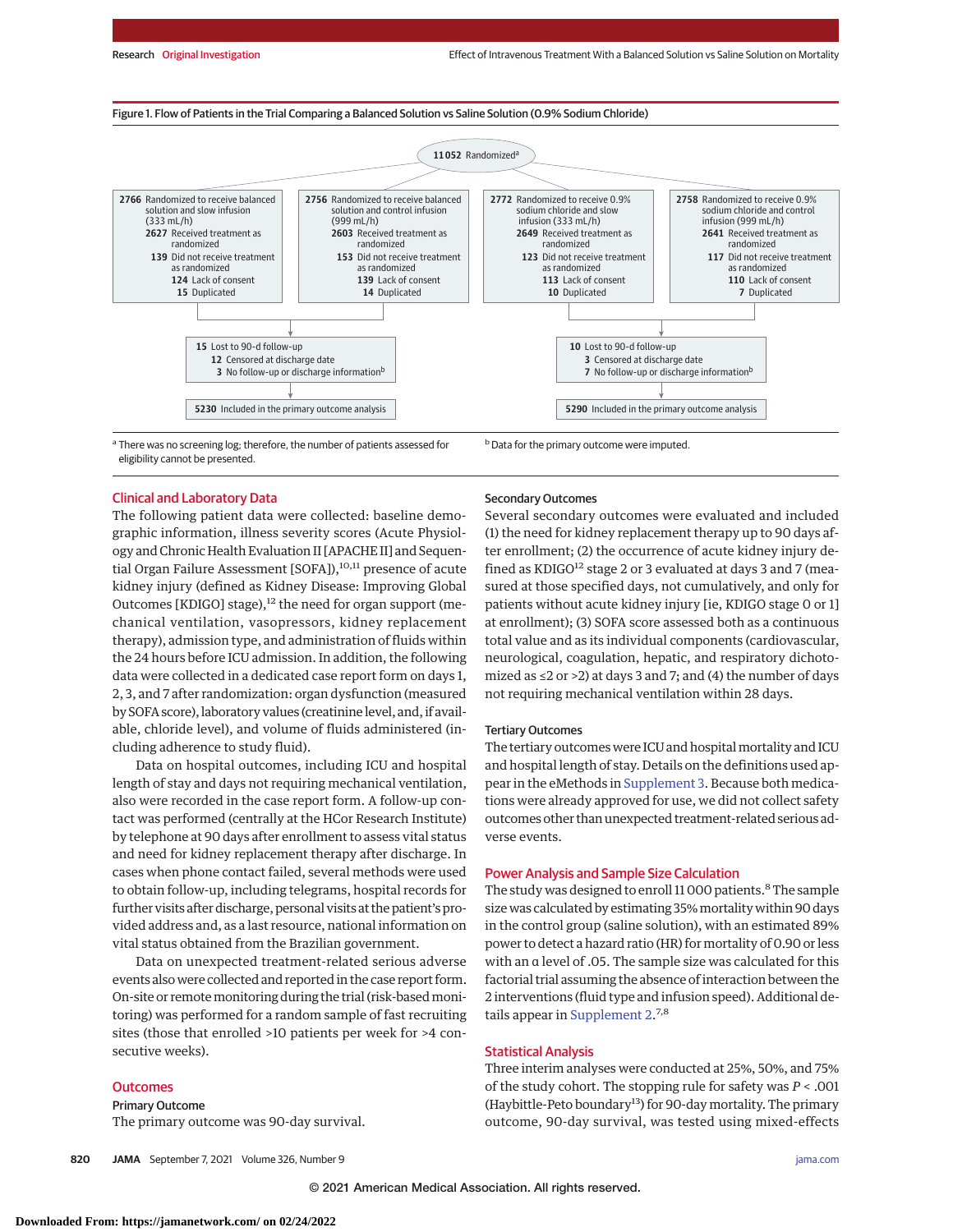Figure 1. Flow of Patients in the Trial Comparing a Balanced Solution vs Saline Solution (0.9% Sodium Chloride)



<sup>a</sup> There was no screening log; therefore, the number of patients assessed for eligibility cannot be presented.

# Clinical and Laboratory Data

The following patient data were collected: baseline demographic information, illness severity scores (Acute Physiology and Chronic Health Evaluation II [APACHE II] and Sequential Organ Failure Assessment [SOFA]),<sup>10,11</sup> presence of acute kidney injury (defined as Kidney Disease: Improving Global Outcomes [KDIGO] stage),<sup>12</sup> the need for organ support (mechanical ventilation, vasopressors, kidney replacement therapy), admission type, and administration of fluids within the 24 hours before ICU admission. In addition, the following data were collected in a dedicated case report form on days 1, 2, 3, and 7 after randomization: organ dysfunction (measured by SOFA score), laboratory values (creatinine level, and, if available, chloride level), and volume of fluids administered (including adherence to study fluid).

Data on hospital outcomes, including ICU and hospital length of stay and days not requiring mechanical ventilation, also were recorded in the case report form. A follow-up contact was performed (centrally at the HCor Research Institute) by telephone at 90 days after enrollment to assess vital status and need for kidney replacement therapy after discharge. In cases when phone contact failed, several methods were used to obtain follow-up, including telegrams, hospital records for further visits after discharge, personal visits at the patient's provided address and, as a last resource, national information on vital status obtained from the Brazilian government.

Data on unexpected treatment-related serious adverse events also were collected and reported in the case report form. On-site or remote monitoring during the trial (risk-based monitoring) was performed for a random sample of fast recruiting sites (those that enrolled >10 patients per week for >4 consecutive weeks).

### **Outcomes**

Primary Outcome The primary outcome was 90-day survival.

### Secondary Outcomes

Several secondary outcomes were evaluated and included (1) the need for kidney replacement therapy up to 90 days after enrollment; (2) the occurrence of acute kidney injury defined as KDIGO $^{12}$  stage 2 or 3 evaluated at days 3 and 7 (measured at those specified days, not cumulatively, and only for patients without acute kidney injury [ie, KDIGO stage 0 or 1] at enrollment); (3) SOFA score assessed both as a continuous total value and as its individual components (cardiovascular, neurological, coagulation, hepatic, and respiratory dichotomized as  $\leq$  2 or  $>$  2) at days 3 and 7; and (4) the number of days not requiring mechanical ventilation within 28 days.

#### Tertiary Outcomes

The tertiary outcomes were ICU and hospital mortality and ICU and hospital length of stay. Details on the definitions used appear in the eMethods in [Supplement 3.](https://jamanetwork.com/journals/jama/fullarticle/10.1001/jama.2021.11684?utm_campaign=articlePDF%26utm_medium=articlePDFlink%26utm_source=articlePDF%26utm_content=jama.2021.11684) Because both medications were already approved for use, we did not collect safety outcomes other than unexpected treatment-related serious adverse events.

#### Power Analysis and Sample Size Calculation

The study was designed to enroll 11 000 patients.<sup>8</sup> The sample size was calculated by estimating 35%mortality within 90 days in the control group (saline solution), with an estimated 89% power to detect a hazard ratio (HR) for mortality of 0.90 or less with an α level of .05. The sample size was calculated for this factorial trial assuming the absence of interaction between the 2 interventions (fluid type and infusion speed). Additional de-tails appear in [Supplement 2.](https://jamanetwork.com/journals/jama/fullarticle/10.1001/jama.2021.11684?utm_campaign=articlePDF%26utm_medium=articlePDFlink%26utm_source=articlePDF%26utm_content=jama.2021.11684)<sup>7,8</sup>

# Statistical Analysis

Three interim analyses were conducted at 25%, 50%, and 75% of the study cohort. The stopping rule for safety was *P* < .001 (Haybittle-Peto boundary<sup>13</sup>) for 90-day mortality. The primary outcome, 90-day survival, was tested using mixed-effects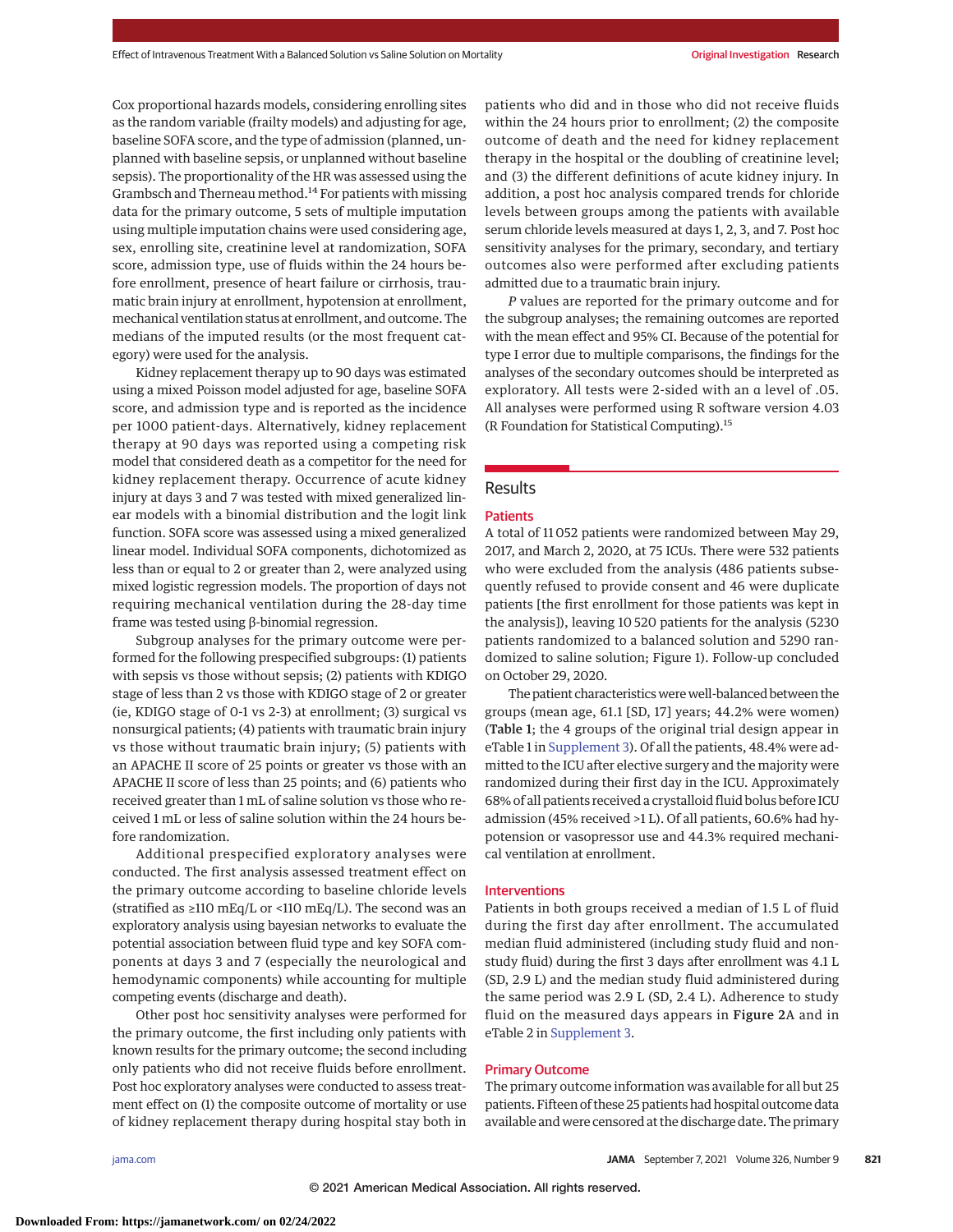Cox proportional hazards models, considering enrolling sites as the random variable (frailty models) and adjusting for age, baseline SOFA score, and the type of admission (planned, unplanned with baseline sepsis, or unplanned without baseline sepsis). The proportionality of the HR was assessed using the Grambsch and Therneau method.<sup>14</sup> For patients with missing data for the primary outcome, 5 sets of multiple imputation using multiple imputation chains were used considering age, sex, enrolling site, creatinine level at randomization, SOFA score, admission type, use of fluids within the 24 hours before enrollment, presence of heart failure or cirrhosis, traumatic brain injury at enrollment, hypotension at enrollment, mechanical ventilation status at enrollment, and outcome. The medians of the imputed results (or the most frequent category) were used for the analysis.

Kidney replacement therapy up to 90 days was estimated using a mixed Poisson model adjusted for age, baseline SOFA score, and admission type and is reported as the incidence per 1000 patient-days. Alternatively, kidney replacement therapy at 90 days was reported using a competing risk model that considered death as a competitor for the need for kidney replacement therapy. Occurrence of acute kidney injury at days 3 and 7 was tested with mixed generalized linear models with a binomial distribution and the logit link function. SOFA score was assessed using a mixed generalized linear model. Individual SOFA components, dichotomized as less than or equal to 2 or greater than 2, were analyzed using mixed logistic regression models. The proportion of days not requiring mechanical ventilation during the 28-day time frame was tested using β-binomial regression.

Subgroup analyses for the primary outcome were performed for the following prespecified subgroups: (1) patients with sepsis vs those without sepsis; (2) patients with KDIGO stage of less than 2 vs those with KDIGO stage of 2 or greater (ie, KDIGO stage of 0-1 vs 2-3) at enrollment; (3) surgical vs nonsurgical patients; (4) patients with traumatic brain injury vs those without traumatic brain injury; (5) patients with an APACHE II score of 25 points or greater vs those with an APACHE II score of less than 25 points; and (6) patients who received greater than 1 mL of saline solution vs those who received 1 mL or less of saline solution within the 24 hours before randomization.

Additional prespecified exploratory analyses were conducted. The first analysis assessed treatment effect on the primary outcome according to baseline chloride levels (stratified as  $\geq$ 110 mEq/L or <110 mEq/L). The second was an exploratory analysis using bayesian networks to evaluate the potential association between fluid type and key SOFA components at days 3 and 7 (especially the neurological and hemodynamic components) while accounting for multiple competing events (discharge and death).

Other post hoc sensitivity analyses were performed for the primary outcome, the first including only patients with known results for the primary outcome; the second including only patients who did not receive fluids before enrollment. Post hoc exploratory analyses were conducted to assess treatment effect on (1) the composite outcome of mortality or use of kidney replacement therapy during hospital stay both in patients who did and in those who did not receive fluids within the 24 hours prior to enrollment; (2) the composite outcome of death and the need for kidney replacement therapy in the hospital or the doubling of creatinine level; and (3) the different definitions of acute kidney injury. In addition, a post hoc analysis compared trends for chloride levels between groups among the patients with available serum chloride levels measured at days 1, 2, 3, and 7. Post hoc sensitivity analyses for the primary, secondary, and tertiary outcomes also were performed after excluding patients admitted due to a traumatic brain injury.

*P* values are reported for the primary outcome and for the subgroup analyses; the remaining outcomes are reported with the mean effect and 95% CI. Because of the potential for type I error due to multiple comparisons, the findings for the analyses of the secondary outcomes should be interpreted as exploratory. All tests were 2-sided with an α level of .05. All analyses were performed using R software version 4.03 (R Foundation for Statistical Computing).15

# Results

#### **Patients**

A total of 11 052 patients were randomized between May 29, 2017, and March 2, 2020, at 75 ICUs. There were 532 patients who were excluded from the analysis (486 patients subsequently refused to provide consent and 46 were duplicate patients [the first enrollment for those patients was kept in the analysis]), leaving 10 520 patients for the analysis (5230 patients randomized to a balanced solution and 5290 randomized to saline solution; Figure 1). Follow-up concluded on October 29, 2020.

The patient characteristics were well-balanced between the groups (mean age, 61.1 [SD, 17] years; 44.2% were women) (Table 1; the 4 groups of the original trial design appear in eTable 1 in [Supplement 3\)](https://jamanetwork.com/journals/jama/fullarticle/10.1001/jama.2021.11684?utm_campaign=articlePDF%26utm_medium=articlePDFlink%26utm_source=articlePDF%26utm_content=jama.2021.11684). Of all the patients, 48.4% were admitted to the ICU after elective surgery and the majority were randomized during their first day in the ICU. Approximately 68% of all patients received a crystalloid fluid bolus before ICU admission (45% received >1 L). Of all patients, 60.6% had hypotension or vasopressor use and 44.3% required mechanical ventilation at enrollment.

#### Interventions

Patients in both groups received a median of 1.5 L of fluid during the first day after enrollment. The accumulated median fluid administered (including study fluid and nonstudy fluid) during the first 3 days after enrollment was 4.1 L (SD, 2.9 L) and the median study fluid administered during the same period was 2.9 L (SD, 2.4 L). Adherence to study fluid on the measured days appears in Figure 2A and in eTable 2 in [Supplement 3.](https://jamanetwork.com/journals/jama/fullarticle/10.1001/jama.2021.11684?utm_campaign=articlePDF%26utm_medium=articlePDFlink%26utm_source=articlePDF%26utm_content=jama.2021.11684)

### Primary Outcome

The primary outcome information was available for all but 25 patients. Fifteen of these 25 patients had hospital outcome data available and were censored at the discharge date. The primary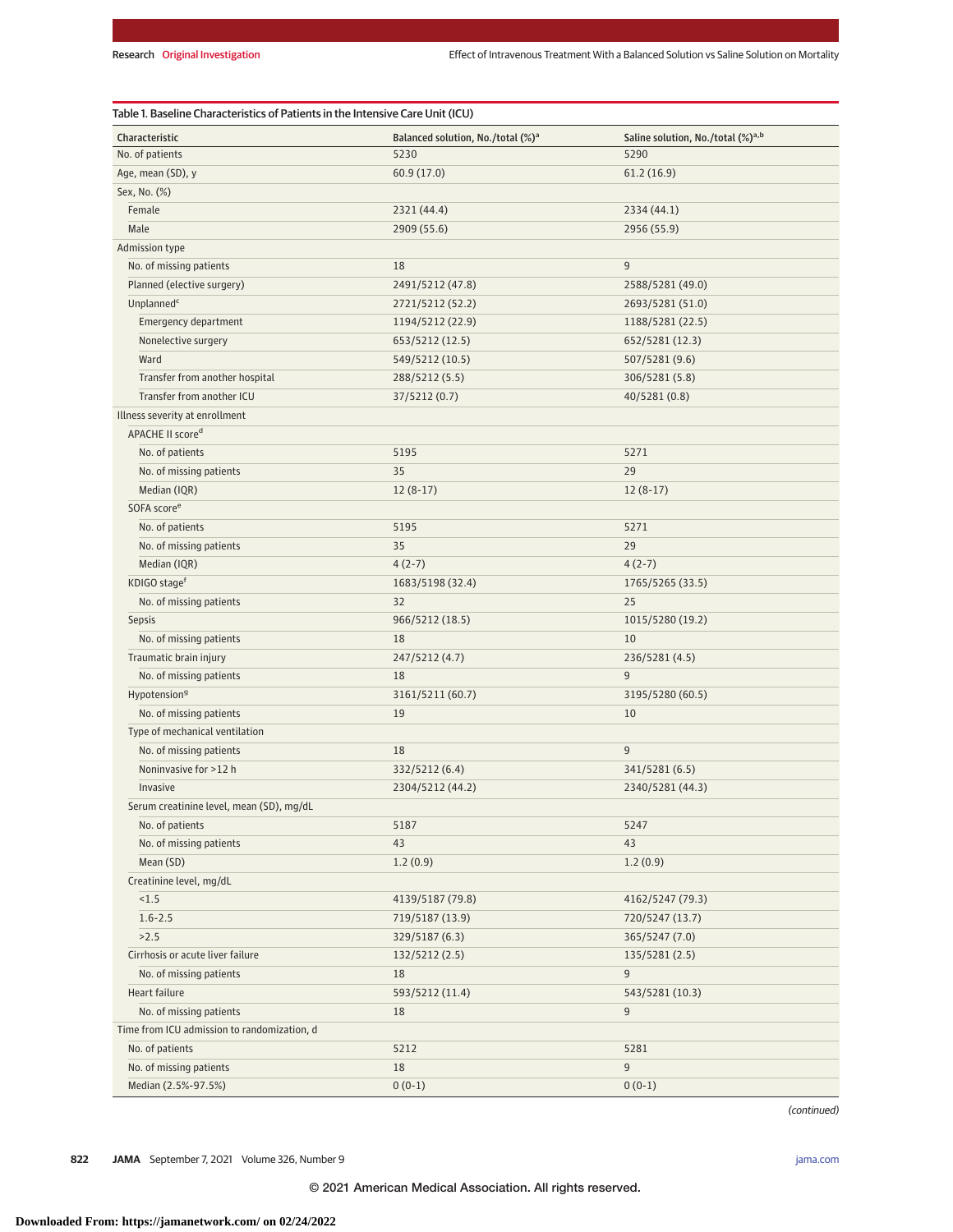| Characteristic                              | Balanced solution, No./total (%) <sup>a</sup> | Saline solution, No./total (%) <sup>a,b</sup> |  |
|---------------------------------------------|-----------------------------------------------|-----------------------------------------------|--|
| No. of patients                             | 5230                                          | 5290                                          |  |
| Age, mean (SD), y                           | 60.9 (17.0)                                   | 61.2(16.9)                                    |  |
| Sex, No. (%)                                |                                               |                                               |  |
| Female                                      | 2321 (44.4)                                   | 2334 (44.1)                                   |  |
| Male                                        | 2909 (55.6)                                   | 2956 (55.9)                                   |  |
| Admission type                              |                                               |                                               |  |
| No. of missing patients                     | 18                                            | 9                                             |  |
| Planned (elective surgery)                  | 2491/5212 (47.8)                              | 2588/5281 (49.0)                              |  |
| Unplanned <sup>c</sup>                      | 2721/5212 (52.2)                              | 2693/5281 (51.0)                              |  |
| Emergency department                        | 1194/5212 (22.9)                              | 1188/5281 (22.5)                              |  |
| Nonelective surgery                         | 653/5212 (12.5)                               | 652/5281 (12.3)                               |  |
| Ward                                        | 549/5212 (10.5)                               | 507/5281 (9.6)                                |  |
| Transfer from another hospital              | 288/5212 (5.5)                                | 306/5281 (5.8)                                |  |
| Transfer from another ICU                   | 37/5212 (0.7)                                 | 40/5281 (0.8)                                 |  |
| Illness severity at enrollment              |                                               |                                               |  |
| APACHE II score <sup>d</sup>                |                                               |                                               |  |
| No. of patients                             | 5195                                          | 5271                                          |  |
| No. of missing patients                     | 35                                            | 29                                            |  |
| Median (IQR)                                | $12(8-17)$                                    | $12(8-17)$                                    |  |
| SOFA score <sup>e</sup>                     |                                               |                                               |  |
| No. of patients                             | 5195                                          | 5271                                          |  |
| No. of missing patients                     | 35                                            | 29                                            |  |
| Median (IQR)                                | $4(2-7)$                                      | $4(2-7)$                                      |  |
| KDIGO stage <sup>f</sup>                    | 1683/5198 (32.4)                              | 1765/5265 (33.5)                              |  |
| No. of missing patients                     | 32                                            | 25                                            |  |
| <b>Sepsis</b>                               | 966/5212 (18.5)                               | 1015/5280 (19.2)                              |  |
| No. of missing patients                     | 18                                            | 10                                            |  |
| Traumatic brain injury                      | 247/5212 (4.7)                                | 236/5281 (4.5)                                |  |
| No. of missing patients                     | 18                                            | 9                                             |  |
| Hypotension <sup>9</sup>                    | 3161/5211 (60.7)<br>3195/5280 (60.5)          |                                               |  |
| No. of missing patients                     | 19                                            | 10                                            |  |
| Type of mechanical ventilation              |                                               |                                               |  |
| No. of missing patients                     | 18                                            | 9                                             |  |
| Noninvasive for >12 h                       | 332/5212 (6.4)                                | 341/5281 (6.5)                                |  |
| Invasive                                    | 2304/5212 (44.2)                              | 2340/5281 (44.3)                              |  |
| Serum creatinine level, mean (SD), mg/dL    |                                               |                                               |  |
| No. of patients                             | 5187                                          | 5247                                          |  |
| No. of missing patients                     | 43                                            | 43                                            |  |
| Mean (SD)                                   | 1.2(0.9)                                      | 1.2(0.9)                                      |  |
| Creatinine level, mg/dL                     |                                               |                                               |  |
| < 1.5                                       | 4139/5187 (79.8)                              | 4162/5247 (79.3)                              |  |
| $1.6 - 2.5$                                 | 719/5187 (13.9)                               | 720/5247 (13.7)                               |  |
| >2.5                                        | 329/5187 (6.3)                                | 365/5247 (7.0)                                |  |
| Cirrhosis or acute liver failure            | 132/5212 (2.5)                                | 135/5281 (2.5)                                |  |
| No. of missing patients                     | 18                                            | 9                                             |  |
| Heart failure                               | 593/5212 (11.4)                               | 543/5281 (10.3)                               |  |
| No. of missing patients                     | 18                                            | 9                                             |  |
| Time from ICU admission to randomization, d |                                               |                                               |  |
| No. of patients                             | 5212                                          | 5281                                          |  |
| No. of missing patients                     | 18                                            | 9                                             |  |
| Median (2.5%-97.5%)                         | $0(0-1)$                                      | $0(0-1)$                                      |  |
|                                             |                                               |                                               |  |

(continued)

**822 JAMA** September 7, 2021 Volume 326, Number 9 **(Reprinted)** in the state of the state of the state of the state of the state of the state of the state of the state of the state of the state of the state of the state of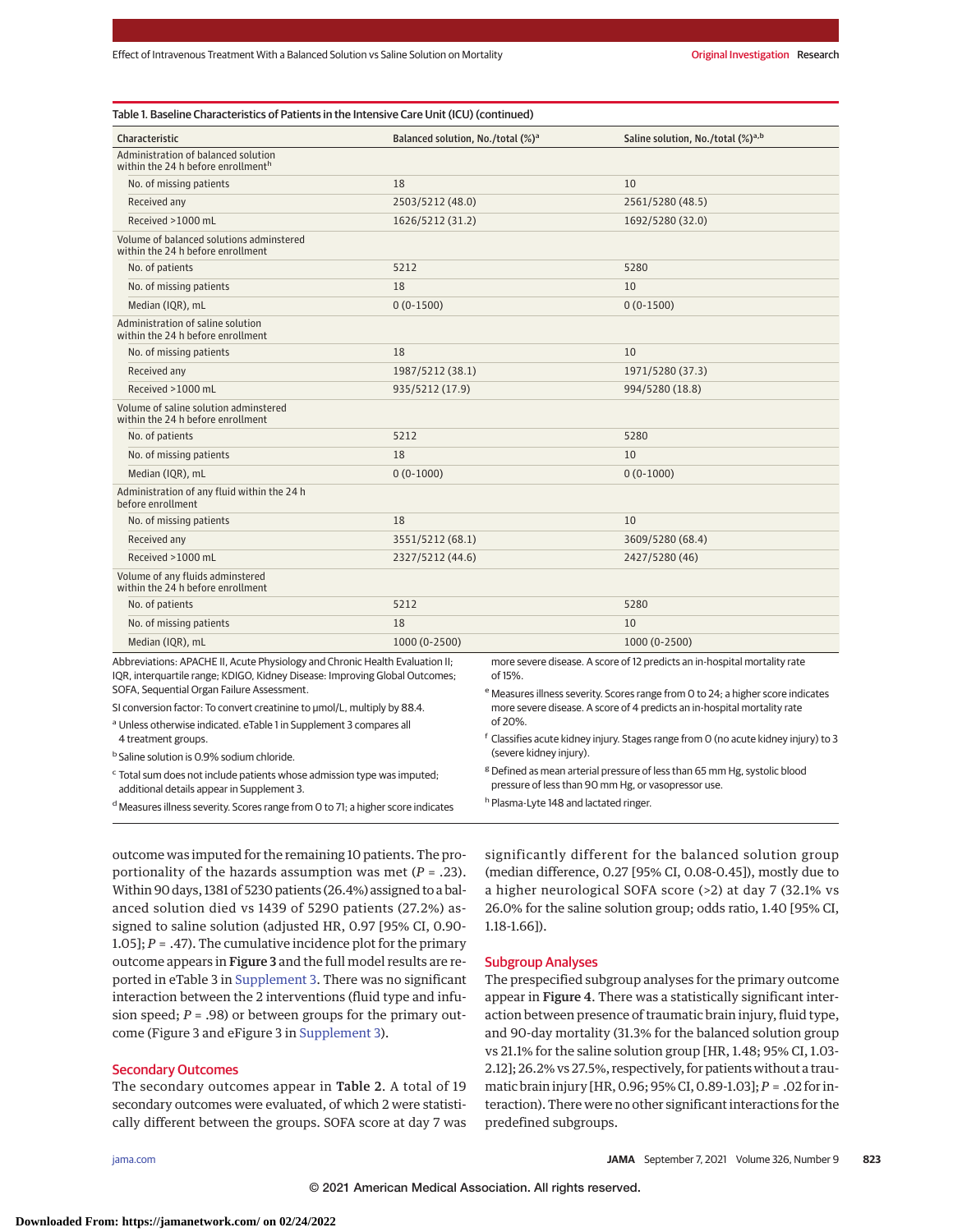| Characteristic                                                                                                                                                                                            | Balanced solution, No./total (%) <sup>a</sup> |                                                                                                                                                                                     | Saline solution, No./total (%) <sup>a,b</sup> |  |  |
|-----------------------------------------------------------------------------------------------------------------------------------------------------------------------------------------------------------|-----------------------------------------------|-------------------------------------------------------------------------------------------------------------------------------------------------------------------------------------|-----------------------------------------------|--|--|
| Administration of balanced solution<br>within the 24 h before enrollment <sup>h</sup>                                                                                                                     |                                               |                                                                                                                                                                                     |                                               |  |  |
| No. of missing patients                                                                                                                                                                                   | 18                                            |                                                                                                                                                                                     | 10                                            |  |  |
| Received any                                                                                                                                                                                              | 2503/5212 (48.0)                              |                                                                                                                                                                                     | 2561/5280 (48.5)                              |  |  |
| Received >1000 mL                                                                                                                                                                                         | 1626/5212 (31.2)                              |                                                                                                                                                                                     | 1692/5280 (32.0)                              |  |  |
| Volume of balanced solutions adminstered<br>within the 24 h before enrollment                                                                                                                             |                                               |                                                                                                                                                                                     |                                               |  |  |
| No. of patients                                                                                                                                                                                           | 5212                                          |                                                                                                                                                                                     | 5280                                          |  |  |
| No. of missing patients                                                                                                                                                                                   | 18                                            |                                                                                                                                                                                     | 10                                            |  |  |
| Median (IQR), mL                                                                                                                                                                                          | $0(0-1500)$                                   |                                                                                                                                                                                     | $0(0-1500)$                                   |  |  |
| Administration of saline solution<br>within the 24 h before enrollment                                                                                                                                    |                                               |                                                                                                                                                                                     |                                               |  |  |
| No. of missing patients                                                                                                                                                                                   | 18                                            |                                                                                                                                                                                     | 10                                            |  |  |
| Received any                                                                                                                                                                                              | 1987/5212 (38.1)                              |                                                                                                                                                                                     | 1971/5280 (37.3)                              |  |  |
| Received >1000 mL                                                                                                                                                                                         | 935/5212 (17.9)                               |                                                                                                                                                                                     | 994/5280 (18.8)                               |  |  |
| Volume of saline solution adminstered<br>within the 24 h before enrollment                                                                                                                                |                                               |                                                                                                                                                                                     |                                               |  |  |
| No. of patients                                                                                                                                                                                           | 5212                                          |                                                                                                                                                                                     | 5280                                          |  |  |
| No. of missing patients                                                                                                                                                                                   | 18                                            |                                                                                                                                                                                     | 10                                            |  |  |
| Median (IQR), mL                                                                                                                                                                                          | $0(0-1000)$                                   |                                                                                                                                                                                     | $0(0-1000)$                                   |  |  |
| Administration of any fluid within the 24 h<br>before enrollment                                                                                                                                          |                                               |                                                                                                                                                                                     |                                               |  |  |
| No. of missing patients                                                                                                                                                                                   | 18                                            |                                                                                                                                                                                     | 10                                            |  |  |
| Received any                                                                                                                                                                                              | 3551/5212 (68.1)                              |                                                                                                                                                                                     | 3609/5280 (68.4)                              |  |  |
| Received >1000 mL                                                                                                                                                                                         | 2327/5212 (44.6)                              |                                                                                                                                                                                     | 2427/5280 (46)                                |  |  |
| Volume of any fluids adminstered<br>within the 24 h before enrollment                                                                                                                                     |                                               |                                                                                                                                                                                     |                                               |  |  |
| No. of patients                                                                                                                                                                                           | 5212                                          |                                                                                                                                                                                     | 5280                                          |  |  |
| No. of missing patients                                                                                                                                                                                   | 18                                            |                                                                                                                                                                                     | 10                                            |  |  |
| Median (IQR), mL                                                                                                                                                                                          | 1000 (0-2500)                                 |                                                                                                                                                                                     | 1000 (0-2500)                                 |  |  |
| Abbreviations: APACHE II, Acute Physiology and Chronic Health Evaluation II;<br>IQR, interquartile range; KDIGO, Kidney Disease: Improving Global Outcomes;<br>SOFA, Sequential Organ Failure Assessment. |                                               | more severe disease. A score of 12 predicts an in-hospital mortality rate<br>of 15%.<br><sup>e</sup> Measures illness severity. Scores range from 0 to 24; a higher score indicates |                                               |  |  |
| SI conversion factor: To convert creatinine to umol/L, multiply by 88.4.                                                                                                                                  |                                               | more severe disease. A score of 4 predicts an in-hospital mortality rate                                                                                                            |                                               |  |  |
| <sup>a</sup> Unless otherwise indicated. eTable 1 in Supplement 3 compares all<br>4 treatment groups.                                                                                                     |                                               | of 20%.<br>f Classifies acute kidney injury. Stages range from O (no acute kidney injury) to 3                                                                                      |                                               |  |  |
| <sup>b</sup> Saline solution is 0.9% sodium chloride.                                                                                                                                                     |                                               | (severe kidney injury).                                                                                                                                                             |                                               |  |  |

<sup>c</sup> Total sum does not include patients whose admission type was imputed; additional details appear in Supplement 3.

<sup>d</sup> Measures illness severity. Scores range from 0 to 71; a higher score indicates

outcome was imputed for the remaining 10 patients. The proportionality of the hazards assumption was met (*P* = .23). Within 90 days, 1381 of 5230 patients (26.4%) assigned to a balanced solution died vs 1439 of 5290 patients (27.2%) assigned to saline solution (adjusted HR, 0.97 [95% CI, 0.90- 1.05];  $P = .47$ ). The cumulative incidence plot for the primary outcome appears in Figure 3 and the full model results are reported in eTable 3 in [Supplement 3.](https://jamanetwork.com/journals/jama/fullarticle/10.1001/jama.2021.11684?utm_campaign=articlePDF%26utm_medium=articlePDFlink%26utm_source=articlePDF%26utm_content=jama.2021.11684) There was no significant interaction between the 2 interventions (fluid type and infusion speed; *P* = .98) or between groups for the primary outsignificantly different for the balanced solution group (median difference, 0.27 [95% CI, 0.08-0.45]), mostly due to a higher neurological SOFA score (>2) at day 7 (32.1% vs 26.0% for the saline solution group; odds ratio, 1.40 [95% CI, 1.18-1.66]).

<sup>g</sup> Defined as mean arterial pressure of less than 65 mm Hg, systolic blood

pressure of less than 90 mm Hg, or vasopressor use.

h Plasma-Lyte 148 and lactated ringer.

#### Subgroup Analyses

The prespecified subgroup analyses for the primary outcome appear in Figure 4. There was a statistically significant interaction between presence of traumatic brain injury, fluid type, and 90-day mortality (31.3% for the balanced solution group vs 21.1% for the saline solution group [HR, 1.48; 95% CI, 1.03- 2.12]; 26.2% vs 27.5%, respectively, for patients without a traumatic brain injury [HR, 0.96; 95% CI, 0.89-1.03]; *P* = .02 for interaction). There were no other significant interactions for the predefined subgroups.

#### Secondary Outcomes

The secondary outcomes appear in Table 2. A total of 19 secondary outcomes were evaluated, of which 2 were statistically different between the groups. SOFA score at day 7 was

come (Figure 3 and eFigure 3 in [Supplement 3\)](https://jamanetwork.com/journals/jama/fullarticle/10.1001/jama.2021.11684?utm_campaign=articlePDF%26utm_medium=articlePDFlink%26utm_source=articlePDF%26utm_content=jama.2021.11684).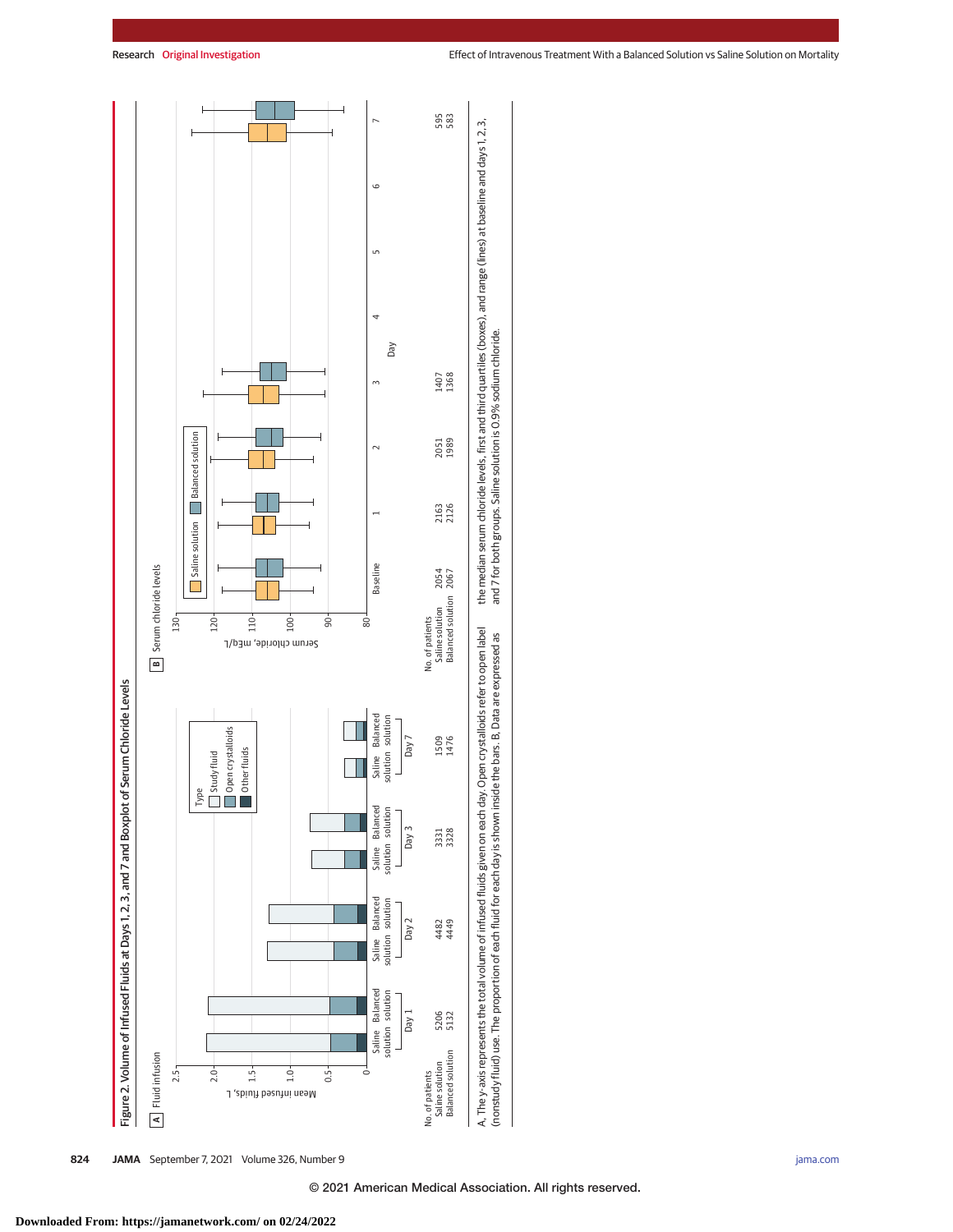

**824 JAMA** September 7, 2021 Volume 326, Number 9 **(Reprinted)** [jama.com](http://www.jama.com?utm_campaign=articlePDF%26utm_medium=articlePDFlink%26utm_source=articlePDF%26utm_content=jama.2021.11684)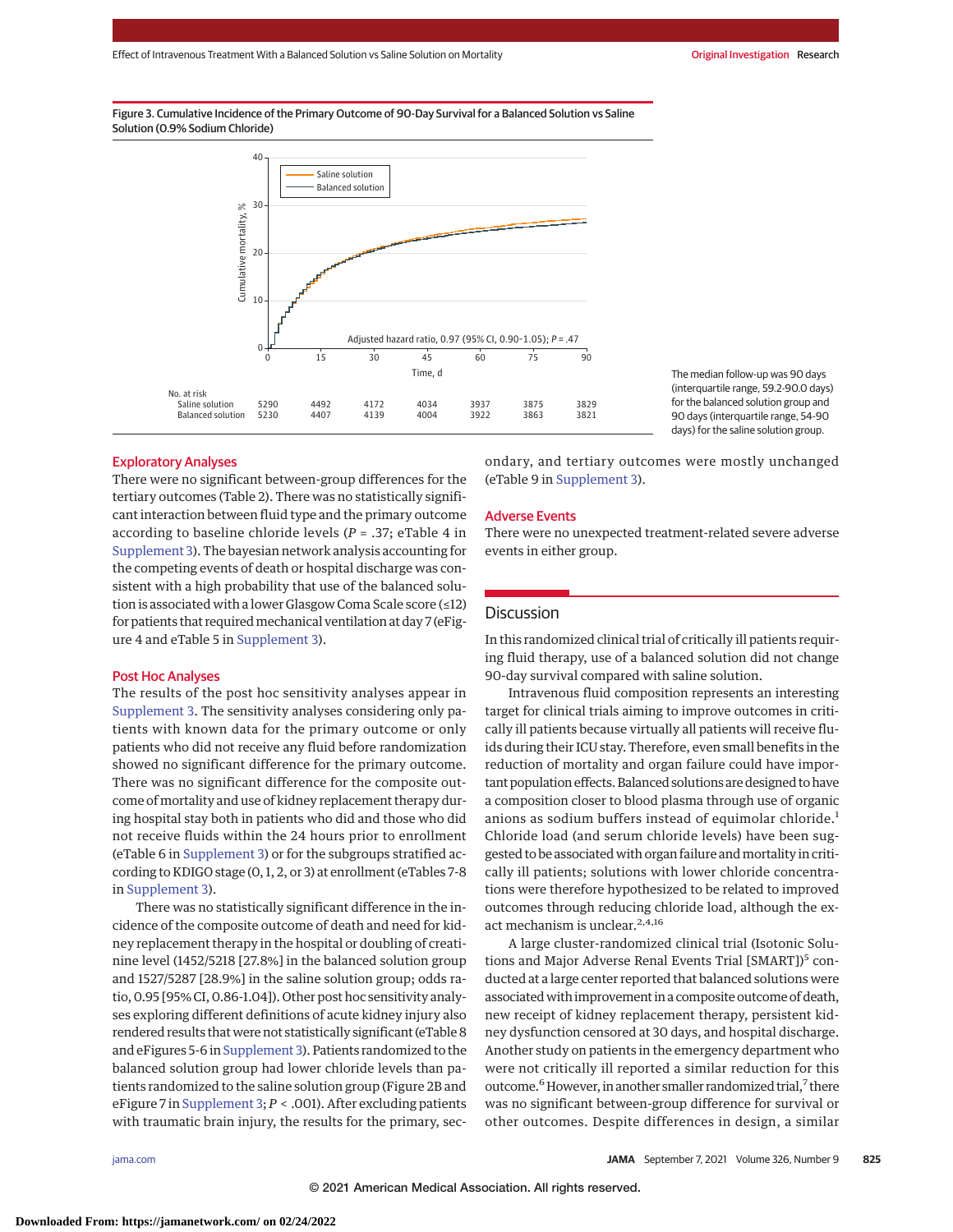Figure 3. Cumulative Incidence of the Primary Outcome of 90-Day Survival for a Balanced Solution vs Saline Solution (0.9% Sodium Chloride)



The median follow-up was 90 days (interquartile range, 59.2-90.0 days) for the balanced solution group and 90 days (interquartile range, 54-90 days) for the saline solution group.

# Exploratory Analyses

There were no significant between-group differences for the tertiary outcomes (Table 2). There was no statistically significant interaction between fluid type and the primary outcome according to baseline chloride levels (*P* = .37; eTable 4 in [Supplement 3\)](https://jamanetwork.com/journals/jama/fullarticle/10.1001/jama.2021.11684?utm_campaign=articlePDF%26utm_medium=articlePDFlink%26utm_source=articlePDF%26utm_content=jama.2021.11684). The bayesian network analysis accounting for the competing events of death or hospital discharge was consistent with a high probability that use of the balanced solution is associated with a lower Glasgow Coma Scale score (≤12) for patients that required mechanical ventilation at day 7 (eFigure 4 and eTable 5 in [Supplement 3\)](https://jamanetwork.com/journals/jama/fullarticle/10.1001/jama.2021.11684?utm_campaign=articlePDF%26utm_medium=articlePDFlink%26utm_source=articlePDF%26utm_content=jama.2021.11684).

#### Post Hoc Analyses

The results of the post hoc sensitivity analyses appear in [Supplement 3.](https://jamanetwork.com/journals/jama/fullarticle/10.1001/jama.2021.11684?utm_campaign=articlePDF%26utm_medium=articlePDFlink%26utm_source=articlePDF%26utm_content=jama.2021.11684) The sensitivity analyses considering only patients with known data for the primary outcome or only patients who did not receive any fluid before randomization showed no significant difference for the primary outcome. There was no significant difference for the composite outcome of mortality and use of kidney replacement therapy during hospital stay both in patients who did and those who did not receive fluids within the 24 hours prior to enrollment (eTable 6 in [Supplement 3\)](https://jamanetwork.com/journals/jama/fullarticle/10.1001/jama.2021.11684?utm_campaign=articlePDF%26utm_medium=articlePDFlink%26utm_source=articlePDF%26utm_content=jama.2021.11684) or for the subgroups stratified according to KDIGO stage (0, 1, 2, or 3) at enrollment (eTables 7-8 in [Supplement 3\)](https://jamanetwork.com/journals/jama/fullarticle/10.1001/jama.2021.11684?utm_campaign=articlePDF%26utm_medium=articlePDFlink%26utm_source=articlePDF%26utm_content=jama.2021.11684).

There was no statistically significant difference in the incidence of the composite outcome of death and need for kidney replacement therapy in the hospital or doubling of creatinine level (1452/5218 [27.8%] in the balanced solution group and 1527/5287 [28.9%] in the saline solution group; odds ratio, 0.95 [95% CI, 0.86-1.04]). Other post hoc sensitivity analyses exploring different definitions of acute kidney injury also rendered results that were not statistically significant (eTable 8 and eFigures 5-6 in Supplement 3). Patients randomized to the balanced solution group had lower chloride levels than patients randomized to the saline solution group (Figure 2B and eFigure 7 in [Supplement 3;](https://jamanetwork.com/journals/jama/fullarticle/10.1001/jama.2021.11684?utm_campaign=articlePDF%26utm_medium=articlePDFlink%26utm_source=articlePDF%26utm_content=jama.2021.11684) *P* < .001). After excluding patients with traumatic brain injury, the results for the primary, secondary, and tertiary outcomes were mostly unchanged (eTable 9 in [Supplement 3\)](https://jamanetwork.com/journals/jama/fullarticle/10.1001/jama.2021.11684?utm_campaign=articlePDF%26utm_medium=articlePDFlink%26utm_source=articlePDF%26utm_content=jama.2021.11684).

### Adverse Events

There were no unexpected treatment-related severe adverse events in either group.

# **Discussion**

In this randomized clinical trial of critically ill patients requiring fluid therapy, use of a balanced solution did not change 90-day survival compared with saline solution.

Intravenous fluid composition represents an interesting target for clinical trials aiming to improve outcomes in critically ill patients because virtually all patients will receive fluids during their ICU stay. Therefore, even small benefits in the reduction of mortality and organ failure could have important population effects. Balanced solutions are designed to have a composition closer to blood plasma through use of organic anions as sodium buffers instead of equimolar chloride.<sup>1</sup> Chloride load (and serum chloride levels) have been suggested to be associated with organ failure and mortality in critically ill patients; solutions with lower chloride concentrations were therefore hypothesized to be related to improved outcomes through reducing chloride load, although the exact mechanism is unclear.<sup>2,4,16</sup>

A large cluster-randomized clinical trial (Isotonic Solutions and Major Adverse Renal Events Trial [SMART])<sup>5</sup> conducted at a large center reported that balanced solutions were associated with improvement in a composite outcome of death, new receipt of kidney replacement therapy, persistent kidney dysfunction censored at 30 days, and hospital discharge. Another study on patients in the emergency department who were not critically ill reported a similar reduction for this outcome.<sup>6</sup> However, in another smaller randomized trial,<sup>7</sup> there was no significant between-group difference for survival or other outcomes. Despite differences in design, a similar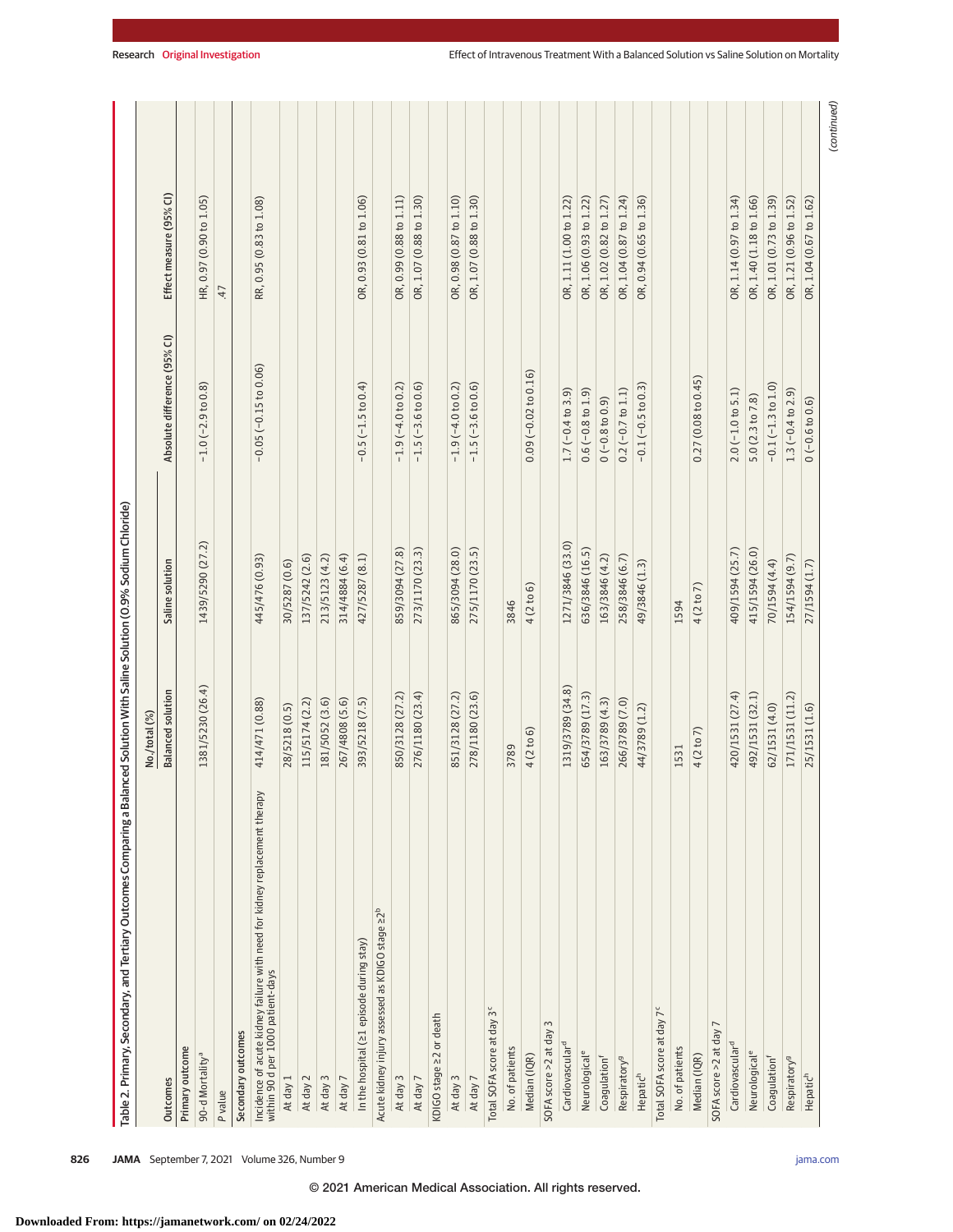|                                                                                                                 | No./total (%)            |                  |                              |                         |
|-----------------------------------------------------------------------------------------------------------------|--------------------------|------------------|------------------------------|-------------------------|
| Outcomes                                                                                                        | <b>Balanced solution</b> | Saline solution  | Absolute difference (95% CI) | Effect measure (95% CI) |
| Primary outcome                                                                                                 |                          |                  |                              |                         |
| 90-d Mortality <sup>a</sup>                                                                                     | 1381/5230 (26.4)         | 1439/5290 (27.2) | $-1.0$ ( $-2.9$ to 0.8)      | HR, 0.97 (0.90 to 1.05) |
| P value                                                                                                         |                          |                  |                              | 47                      |
| Secondary outcomes                                                                                              |                          |                  |                              |                         |
| Incidence of acute kidney failure with need for kidney replacement therapy<br>within 90 d per 1000 patient-days | 414/471 (0.88)           | 445/476 (0.93)   | $-0.05$ $(-0.15$ to $0.06)$  | RR, 0.95 (0.83 to 1.08) |
| At day 1                                                                                                        | 28/5218 (0.5)            | 30/5287 (0.6)    |                              |                         |
| At day 2                                                                                                        | 115/5174(2.2)            | 137/5242 (2.6)   |                              |                         |
| At day 3                                                                                                        | 181/5052 (3.6)           | 213/5123 (4.2)   |                              |                         |
| At day 7                                                                                                        | 267/4808 (5.6)           | 314/4884 (6.4)   |                              |                         |
| In the hospital (21 episode during stay)                                                                        | 393/5218 (7.5)           | 427/5287 (8.1)   | $-0.5(-1.5 to 0.4)$          | OR, 0.93 (0.81 to 1.06) |
| Acute kidney injury assessed as KDIGO stage 22 <sup>b</sup>                                                     |                          |                  |                              |                         |
| At day 3                                                                                                        | 850/3128 (27.2)          | 859/3094 (27.8)  | $-1.9(-4.0 to 0.2)$          | OR, 0.99 (0.88 to 1.11) |
| At day 7                                                                                                        | 276/1180 (23.4)          | 273/1170 (23.3)  | $-1.5$ ( $-3.6$ to 0.6)      | OR, 1.07 (0.88 to 1.30) |
| KDIGO stage 22 or death                                                                                         |                          |                  |                              |                         |
| At day 3                                                                                                        | 851/3128 (27.2)          | 865/3094 (28.0)  | $-1.9(-4.0 to 0.2)$          | OR, 0.98 (0.87 to 1.10) |
| At day 7                                                                                                        | 278/1180 (23.6)          | 275/1170 (23.5)  | $-1.5$ ( $-3.6$ to $0.6$ )   | OR, 1.07 (0.88 to 1.30) |
| Total SOFA score at day 3 <sup>c</sup>                                                                          |                          |                  |                              |                         |
| No. of patients                                                                                                 | 3789                     | 3846             |                              |                         |
| Median (IQR)                                                                                                    | 4(2 to 6)                | 4(2 to 6)        | $0.09(-0.02 to 0.16)$        |                         |
| SOFA score > 2 at day 3                                                                                         |                          |                  |                              |                         |
| Cardiovascular <sup>d</sup>                                                                                     | 1319/3789 (34.8)         | 1271/3846 (33.0) | $1.7(-0.4 to 3.9)$           | OR, 1.11 (1.00 to 1.22) |
| Neurological <sup>e</sup>                                                                                       | 654/3789 (17.3)          | 636/3846 (16.5)  | $0.6(-0.8 to 1.9)$           | OR, 1.06 (0.93 to 1.22) |
| Coagulation <sup>f</sup>                                                                                        | 163/3789 (4.3)           | 163/3846 (4.2)   | $0(-0.8 to 0.9)$             | OR, 1.02 (0.82 to 1.27) |
| Respiratory <sup>9</sup>                                                                                        | 266/3789 (7.0)           | 258/3846 (6.7)   | $0.2$ (-0.7 to $1.1$ )       | OR, 1.04 (0.87 to 1.24) |
| Hepatic <sup>h</sup>                                                                                            | 44/3789 (1.2)            | 49/3846 (1.3)    | $-0.1(-0.5 \text{ to } 0.3)$ | OR, 0.94 (0.65 to 1.36) |
| Total SOFA score at day 7 <sup>c</sup>                                                                          |                          |                  |                              |                         |
| No. of patients                                                                                                 | 1531                     | 1594             |                              |                         |
| Median (IQR)                                                                                                    | 4(2 to 7)                | 4 (2 to 7)       | 0.27(0.08 to 0.45)           |                         |
| SOFA score > 2 at day 7                                                                                         |                          |                  |                              |                         |
| Cardiovasculard                                                                                                 | 420/1531 (27.4)          | 409/1594 (25.7)  | $2.0(-1.0 to 5.1)$           | OR, 1.14 (0.97 to 1.34) |
| Neurological <sup>e</sup>                                                                                       | 492/1531 (32.1)          | 415/1594 (26.0)  | 5.0(2.3 to 7.8)              | OR, 1.40 (1.18 to 1.66) |
| Coagulation <sup>f</sup>                                                                                        | 62/1531 (4.0)            | 70/1594 (4.4)    | $-0.1(-1.3 \text{ to } 1.0)$ | OR, 1.01 (0.73 to 1.39) |
| Respiratory <sup>9</sup>                                                                                        | 171/1531 (11.2)          | 154/1594 (9.7)   | $1.3(-0.4 to 2.9)$           | OR, 1.21 (0.96 to 1.52) |
| Hepatic <sup>h</sup>                                                                                            | 25/1531 (1.6)            | 27/1594 (1.7)    | $0(-0.6 to 0.6)$             | OR, 1.04 (0.67 to 1.62) |

(continued)

(continued)

**826 JAMA** September 7, 2021 Volume 326, Number 9 **(Reprinted)** [jama.com](http://www.jama.com?utm_campaign=articlePDF%26utm_medium=articlePDFlink%26utm_source=articlePDF%26utm_content=jama.2021.11684)

© 2021 American Medical Association. All rights reserved.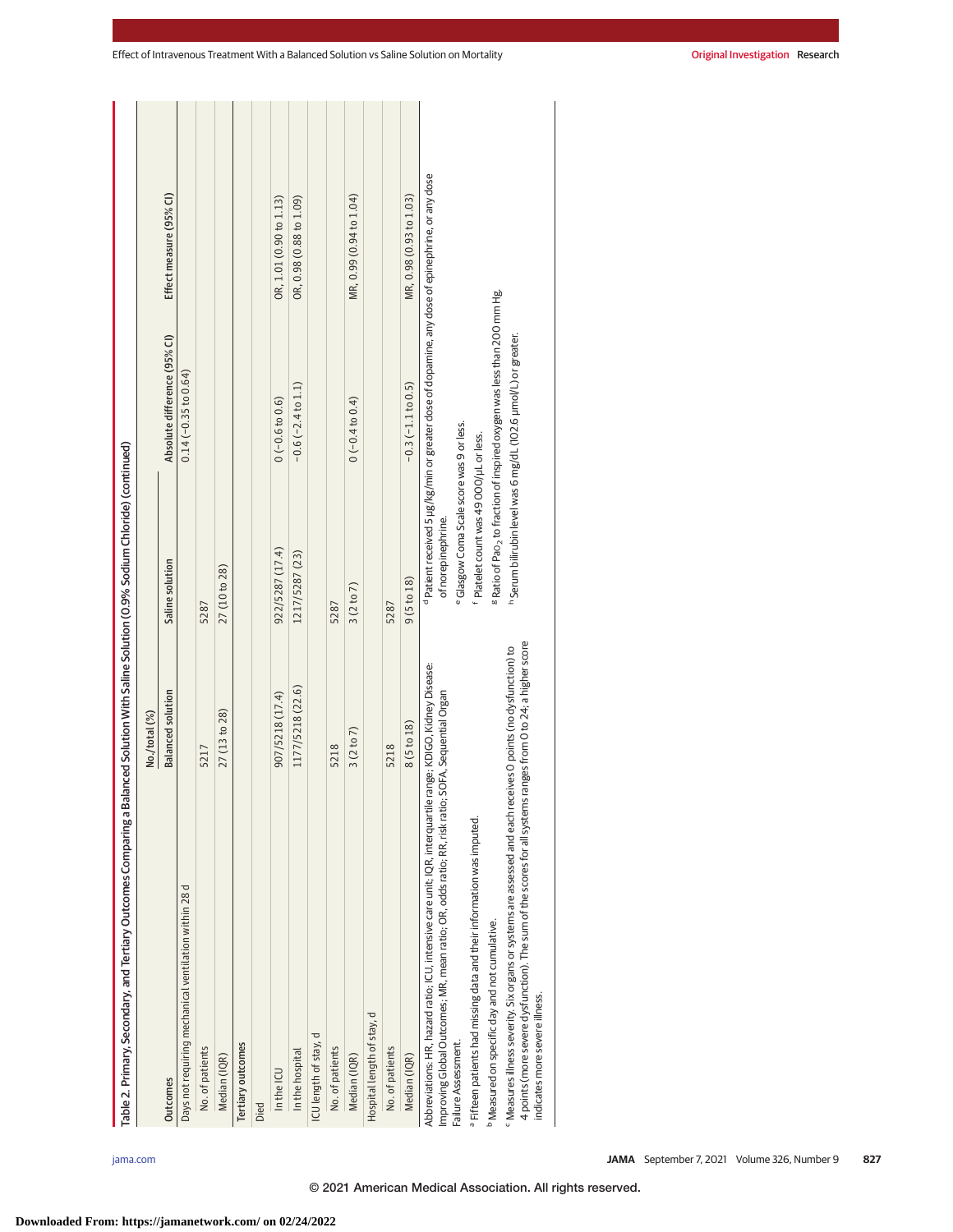| Table 2. Primary, Secondary, and Tertiary Outcomes Comparing a Ba                                                                                                                                                                                                            | lanced Solution With Saline Solution (0.9% Sodium Chloride) (continued) |                                                                                                 |                                                                                                             |                         |
|------------------------------------------------------------------------------------------------------------------------------------------------------------------------------------------------------------------------------------------------------------------------------|-------------------------------------------------------------------------|-------------------------------------------------------------------------------------------------|-------------------------------------------------------------------------------------------------------------|-------------------------|
|                                                                                                                                                                                                                                                                              | No./total (%)                                                           |                                                                                                 |                                                                                                             |                         |
| <b>Outcomes</b>                                                                                                                                                                                                                                                              | <b>Balanced solution</b>                                                | Saline solution                                                                                 | Absolute difference (95% CI)                                                                                | Effect measure (95% Cl) |
| Days not requiring mechanical ventilation within 28 d                                                                                                                                                                                                                        |                                                                         |                                                                                                 | $0.14 (-0.35 to 0.64)$                                                                                      |                         |
| No. of patients                                                                                                                                                                                                                                                              | 5217                                                                    | 5287                                                                                            |                                                                                                             |                         |
| Median (IQR)                                                                                                                                                                                                                                                                 | 27 (13 to 28)                                                           | 27 (10 to 28)                                                                                   |                                                                                                             |                         |
| Tertiary outcomes                                                                                                                                                                                                                                                            |                                                                         |                                                                                                 |                                                                                                             |                         |
| Died                                                                                                                                                                                                                                                                         |                                                                         |                                                                                                 |                                                                                                             |                         |
| In the ICU                                                                                                                                                                                                                                                                   | 907/5218 (17.4)                                                         | 922/5287 (17.4)                                                                                 | $0(-0.6 to 0.6)$                                                                                            | OR, 1.01 (0.90 to 1.13) |
| In the hospital                                                                                                                                                                                                                                                              | 1177/5218 (22.6)                                                        | 1217/5287 (23)                                                                                  | $-0.6(-2.4 \text{ to } 1.1)$                                                                                | OR, 0.98 (0.88 to 1.09) |
| ICU length of stay, d                                                                                                                                                                                                                                                        |                                                                         |                                                                                                 |                                                                                                             |                         |
| No. of patients                                                                                                                                                                                                                                                              | 5218                                                                    | 5287                                                                                            |                                                                                                             |                         |
| Median (IQR)                                                                                                                                                                                                                                                                 | 3(2 to 7)                                                               | 3(2 to 7)                                                                                       | $0(-0.4 to 0.4)$                                                                                            | MR, 0.99 (0.94 to 1.04) |
| Hospital length of stay, d                                                                                                                                                                                                                                                   |                                                                         |                                                                                                 |                                                                                                             |                         |
| No. of patients                                                                                                                                                                                                                                                              | 5218                                                                    | 5287                                                                                            |                                                                                                             |                         |
| Median (IQR)                                                                                                                                                                                                                                                                 | 8(5to 18)                                                               | 9(5 to 18)                                                                                      | $-0.3(-1.1$ to $0.5)$                                                                                       | MR, 0.98 (0.93 to 1.03) |
| Abbreviations: HR, hazard ratio; ICU, intensive care unit; IQR, interquartile range; KDIGO, Kidney Disease:<br>Improving Global Outcomes; MR, mean ratio; OR, odds ratio; RR, risk ratio;<br>Failure Assessment.                                                             | SOFA, Sequential Organ                                                  | of norepinephrine.                                                                              | <sup>d</sup> Patient received 5 µg/kg/min or greater dose of dopamine, any dose of epinephrine, or any dose |                         |
| a Fifteen patients had missing data and their information was imputed.                                                                                                                                                                                                       |                                                                         | e Glasgow Coma Scale score was 9 or less.<br><sup>f</sup> Platelet count was 49 000/µL or less. |                                                                                                             |                         |
| <sup>b</sup> Measured on specific day and not cumulative.                                                                                                                                                                                                                    |                                                                         |                                                                                                 | <sup>8</sup> Ratio of Pao <sub>2</sub> to fraction of inspired oxygen was less than 200 mm Hg.              |                         |
| 4 points (more severe dysfunction). The sum of the scores for all systems ranges from 0 to 24; a higher score<br><sup>c</sup> Measures illness severity. Six organs or systems are assessed and each receives O points (no dysfunction) to<br>indicates more severe illness. |                                                                         |                                                                                                 | h Serum bilirubin level was 6 mg/dL (102.6 µmol/L) or greater.                                              |                         |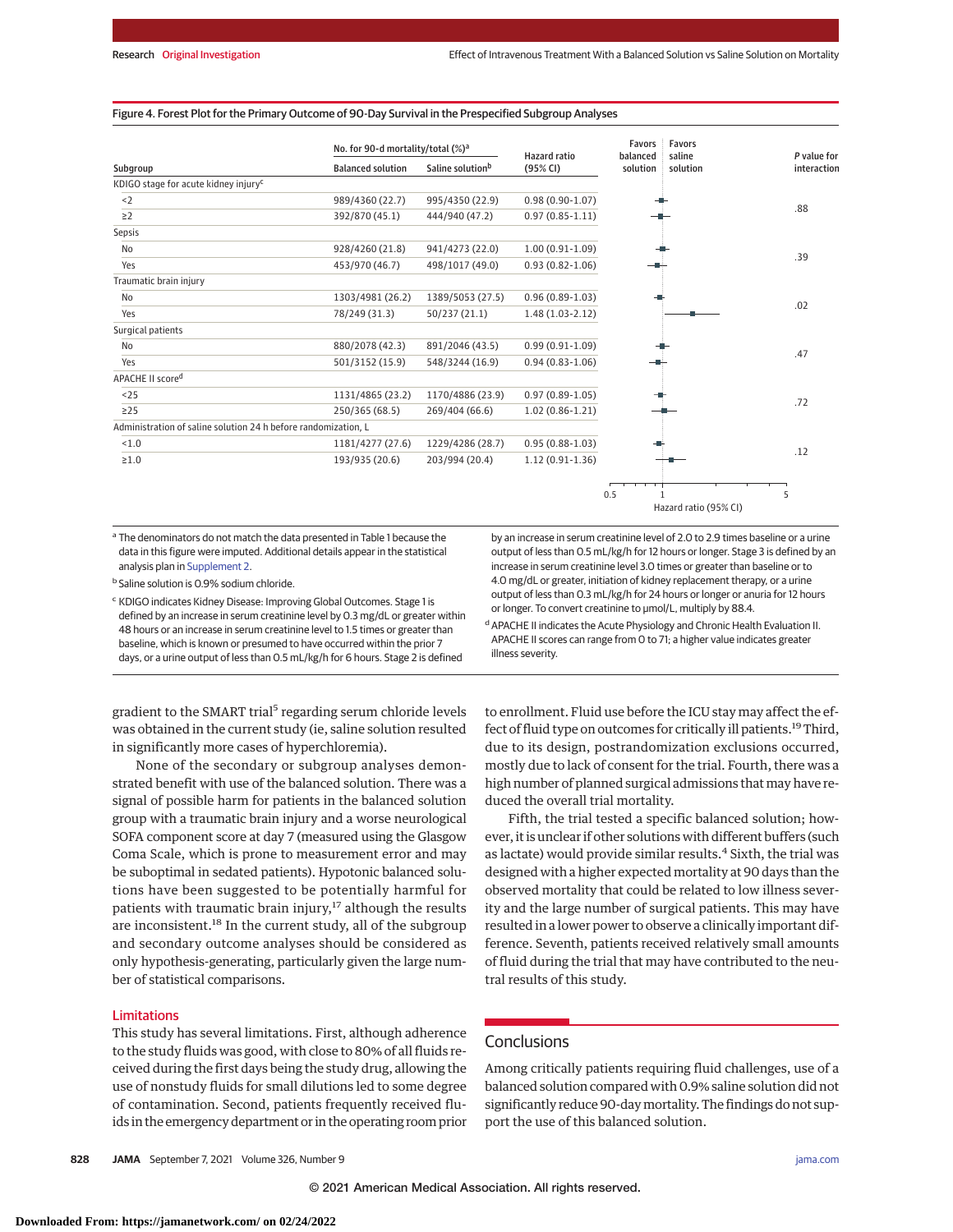#### Figure 4. Forest Plot for the Primary Outcome of 90-Day Survival in the Prespecified Subgroup Analyses

|                                                                | No. for 90-d mortality/total (%) <sup>a</sup> |                              | <b>Hazard</b> ratio | <b>Favors</b><br>÷<br>balanced | Favors<br>saline      | P value for |
|----------------------------------------------------------------|-----------------------------------------------|------------------------------|---------------------|--------------------------------|-----------------------|-------------|
| Subgroup                                                       | <b>Balanced solution</b>                      | Saline solution <sup>b</sup> | (95% CI)            | solution                       | solution              | interaction |
| KDIGO stage for acute kidney injury <sup>c</sup>               |                                               |                              |                     |                                |                       |             |
| < 2                                                            | 989/4360 (22.7)                               | 995/4350 (22.9)              | $0.98(0.90-1.07)$   |                                |                       | .88         |
| $\geq$ 2                                                       | 392/870 (45.1)                                | 444/940 (47.2)               | $0.97(0.85 - 1.11)$ |                                |                       |             |
| <b>Sepsis</b>                                                  |                                               |                              |                     |                                |                       |             |
| No                                                             | 928/4260 (21.8)                               | 941/4273 (22.0)              | $1.00(0.91-1.09)$   |                                |                       | .39         |
| Yes                                                            | 453/970 (46.7)                                | 498/1017 (49.0)              | $0.93(0.82 - 1.06)$ |                                |                       |             |
| Traumatic brain injury                                         |                                               |                              |                     |                                |                       |             |
| No                                                             | 1303/4981 (26.2)                              | 1389/5053 (27.5)             | $0.96(0.89-1.03)$   |                                |                       | .02         |
| Yes                                                            | 78/249 (31.3)                                 | 50/237(21.1)                 | $1.48(1.03-2.12)$   |                                |                       |             |
| Surgical patients                                              |                                               |                              |                     |                                |                       |             |
| No                                                             | 880/2078 (42.3)                               | 891/2046 (43.5)              | $0.99(0.91-1.09)$   |                                |                       |             |
| Yes                                                            | 501/3152 (15.9)                               | 548/3244 (16.9)              | $0.94(0.83 - 1.06)$ |                                |                       | .47         |
| APACHE II scored                                               |                                               |                              |                     |                                |                       |             |
| < 25                                                           | 1131/4865 (23.2)                              | 1170/4886 (23.9)             | $0.97(0.89 - 1.05)$ |                                |                       | .72         |
| $\geq$ 25                                                      | 250/365 (68.5)                                | 269/404 (66.6)               | $1.02(0.86 - 1.21)$ |                                |                       |             |
| Administration of saline solution 24 h before randomization, L |                                               |                              |                     |                                |                       |             |
| < 1.0                                                          | 1181/4277 (27.6)                              | 1229/4286 (28.7)             | $0.95(0.88-1.03)$   |                                |                       | .12         |
| $\geq 1.0$                                                     | 193/935 (20.6)                                | 203/994 (20.4)               | $1.12(0.91-1.36)$   |                                |                       |             |
|                                                                |                                               |                              |                     |                                |                       |             |
|                                                                |                                               |                              |                     |                                |                       |             |
|                                                                |                                               |                              |                     | 0.5                            | Hazard ratio (95% CI) | 5           |

<sup>a</sup> The denominators do not match the data presented in Table 1 because the data in this figure were imputed. Additional details appear in the statistical analysis plan in [Supplement 2.](https://jamanetwork.com/journals/jama/fullarticle/10.1001/jama.2021.11684?utm_campaign=articlePDF%26utm_medium=articlePDFlink%26utm_source=articlePDF%26utm_content=jama.2021.11684)

<sup>b</sup> Saline solution is 0.9% sodium chloride.

<sup>c</sup> KDIGO indicates Kidney Disease: Improving Global Outcomes. Stage 1 is defined by an increase in serum creatinine level by 0.3 mg/dL or greater within 48 hours or an increase in serum creatinine level to 1.5 times or greater than baseline, which is known or presumed to have occurred within the prior 7 days, or a urine output of less than 0.5 mL/kg/h for 6 hours. Stage 2 is defined

gradient to the SMART trial<sup>5</sup> regarding serum chloride levels was obtained in the current study (ie, saline solution resulted in significantly more cases of hyperchloremia).

None of the secondary or subgroup analyses demonstrated benefit with use of the balanced solution. There was a signal of possible harm for patients in the balanced solution group with a traumatic brain injury and a worse neurological SOFA component score at day 7 (measured using the Glasgow Coma Scale, which is prone to measurement error and may be suboptimal in sedated patients). Hypotonic balanced solutions have been suggested to be potentially harmful for patients with traumatic brain injury, $17$  although the results are inconsistent.<sup>18</sup> In the current study, all of the subgroup and secondary outcome analyses should be considered as only hypothesis-generating, particularly given the large number of statistical comparisons.

#### Limitations

This study has several limitations. First, although adherence to the study fluids was good, with close to 80% of all fluids received during the first days being the study drug, allowing the use of nonstudy fluids for small dilutions led to some degree of contamination. Second, patients frequently received fluids in the emergency department or in the operating room prior by an increase in serum creatinine level of 2.0 to 2.9 times baseline or a urine output of less than 0.5 mL/kg/h for 12 hours or longer. Stage 3 is defined by an increase in serum creatinine level 3.0 times or greater than baseline or to 4.0 mg/dL or greater, initiation of kidney replacement therapy, or a urine output of less than 0.3 mL/kg/h for 24 hours or longer or anuria for 12 hours or longer. To convert creatinine to μmol/L, multiply by 88.4.

<sup>d</sup> APACHE II indicates the Acute Physiology and Chronic Health Evaluation II. APACHE II scores can range from 0 to 71; a higher value indicates greater illness severity.

to enrollment. Fluid use before the ICU stay may affect the effect of fluid type on outcomes for critically ill patients.<sup>19</sup>Third, due to its design, postrandomization exclusions occurred, mostly due to lack of consent for the trial. Fourth, there was a high number of planned surgical admissions that may have reduced the overall trial mortality.

Fifth, the trial tested a specific balanced solution; however, it is unclear if other solutions with different buffers (such as lactate) would provide similar results.<sup>4</sup> Sixth, the trial was designed with a higher expected mortality at 90 days than the observed mortality that could be related to low illness severity and the large number of surgical patients. This may have resulted in a lower power to observe a clinically important difference. Seventh, patients received relatively small amounts of fluid during the trial that may have contributed to the neutral results of this study.

# **Conclusions**

Among critically patients requiring fluid challenges, use of a balanced solution compared with 0.9% saline solution did not significantly reduce 90-daymortality. The findings do not support the use of this balanced solution.